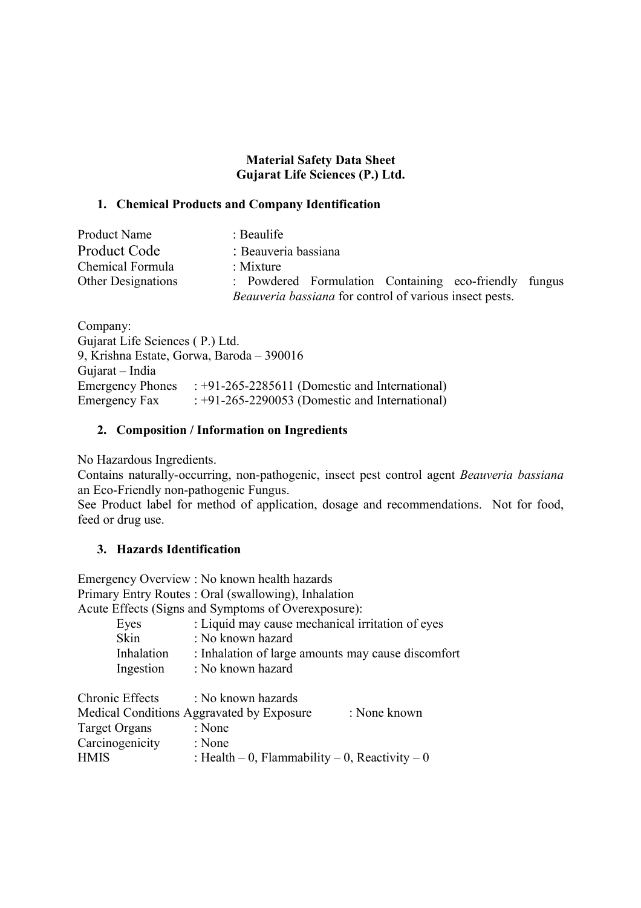# **Material Safety Data Sheet Gujarat Life Sciences (P.) Ltd.**

## **1. Chemical Products and Company Identification**

| <b>Product Name</b>       | $\therefore$ Beaulife                                   |
|---------------------------|---------------------------------------------------------|
| <b>Product Code</b>       | : Beauveria bassiana                                    |
| Chemical Formula          | : Mixture                                               |
| <b>Other Designations</b> | : Powdered Formulation Containing eco-friendly fungus   |
|                           | Beauveria bassiana for control of various insect pests. |

Company: Gujarat Life Sciences ( P.) Ltd. 9, Krishna Estate, Gorwa, Baroda – 390016 Gujarat – India Emergency Phones : +91-265-2285611 (Domestic and International) Emergency Fax : +91-265-2290053 (Domestic and International)

# **2. Composition / Information on Ingredients**

No Hazardous Ingredients.

Contains naturally-occurring, non-pathogenic, insect pest control agent *Beauveria bassiana* an Eco-Friendly non-pathogenic Fungus.

See Product label for method of application, dosage and recommendations. Not for food, feed or drug use.

# **3. Hazards Identification**

Emergency Overview : No known health hazards Primary Entry Routes : Oral (swallowing), Inhalation

Acute Effects (Signs and Symptoms of Overexposure):

| Eyes        | : Liquid may cause mechanical irritation of eyes   |
|-------------|----------------------------------------------------|
| <b>Skin</b> | : No known hazard                                  |
| Inhalation  | : Inhalation of large amounts may cause discomfort |
| Ingestion   | : No known hazard                                  |

| Chronic Effects | : No known hazards                             |              |
|-----------------|------------------------------------------------|--------------|
|                 | Medical Conditions Aggravated by Exposure      | : None known |
| Target Organs   | : None                                         |              |
| Carcinogenicity | : None                                         |              |
| <b>HMIS</b>     | : Health – 0, Flammability – 0, Reactivity – 0 |              |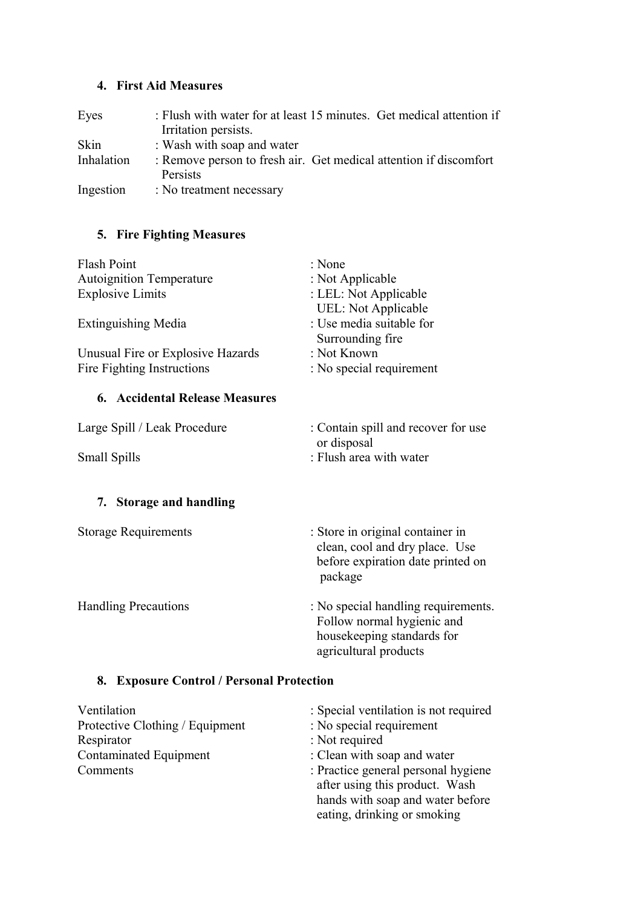# **4. First Aid Measures**

| Eyes       | : Flush with water for at least 15 minutes. Get medical attention if<br>Irritation persists. |
|------------|----------------------------------------------------------------------------------------------|
| Skin       | : Wash with soap and water                                                                   |
| Inhalation | : Remove person to fresh air. Get medical attention if discomfort<br>Persists                |
| Ingestion  | : No treatment necessary                                                                     |

# **5. Fire Fighting Measures**

| Flash Point                       | : None                     |
|-----------------------------------|----------------------------|
| <b>Autoignition Temperature</b>   | : Not Applicable           |
| <b>Explosive Limits</b>           | : LEL: Not Applicable      |
|                                   | <b>UEL:</b> Not Applicable |
| <b>Extinguishing Media</b>        | : Use media suitable for   |
|                                   | Surrounding fire           |
| Unusual Fire or Explosive Hazards | : Not Known                |
| Fire Fighting Instructions        | : No special requirement   |
|                                   |                            |

# **6. Accidental Release Measures**

| Large Spill / Leak Procedure | : Contain spill and recover for use |
|------------------------------|-------------------------------------|
|                              | or disposal                         |
| <b>Small Spills</b>          | : Flush area with water             |

# **7. Storage and handling**

| <b>Storage Requirements</b> | : Store in original container in<br>clean, cool and dry place. Use<br>before expiration date printed on<br>package |
|-----------------------------|--------------------------------------------------------------------------------------------------------------------|
| <b>Handling Precautions</b> | : No special handling requirements.<br>Follow normal hygienic and                                                  |

housekeeping standards for

agricultural products

# **8. Exposure Control / Personal Protection**

| Ventilation                     | : Special ventilation is not required                                                                                                    |
|---------------------------------|------------------------------------------------------------------------------------------------------------------------------------------|
| Protective Clothing / Equipment | : No special requirement                                                                                                                 |
| Respirator                      | : Not required                                                                                                                           |
| Contaminated Equipment          | : Clean with soap and water                                                                                                              |
| Comments                        | : Practice general personal hygiene<br>after using this product. Wash<br>hands with soap and water before<br>eating, drinking or smoking |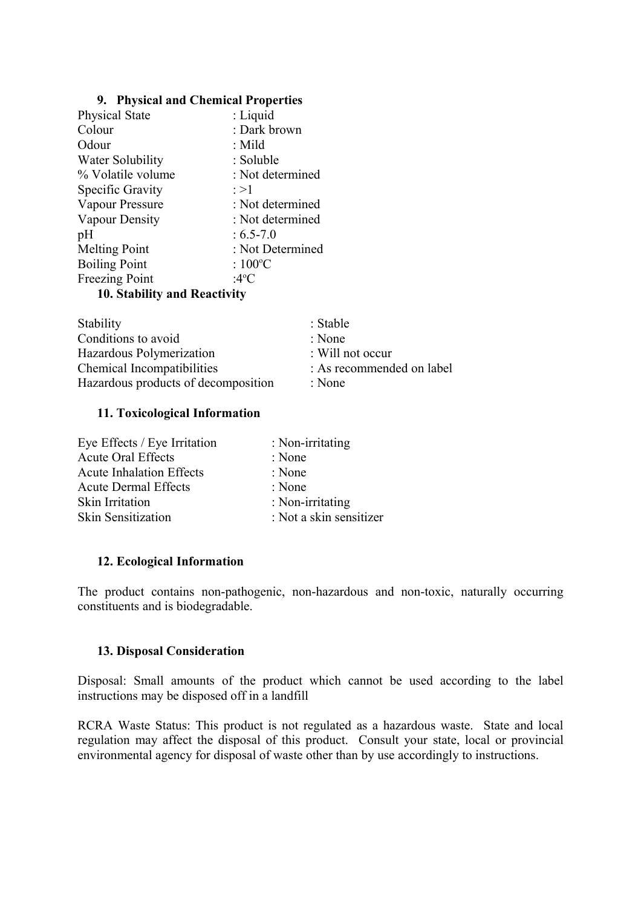#### **9. Physical and Chemical Properties**

| <b>Physical State</b> | : Liquid          |
|-----------------------|-------------------|
| Colour                | : Dark brown      |
| Odour                 | : Mild            |
| Water Solubility      | : Soluble         |
| % Volatile volume     | : Not determined  |
| Specific Gravity      | : >1              |
| Vapour Pressure       | : Not determined  |
| Vapour Density        | : Not determined  |
| pH                    | $: 6.5 - 7.0$     |
| <b>Melting Point</b>  | : Not Determined  |
| <b>Boiling Point</b>  | : $100^{\circ}$ C |
| Freezing Point        | :4°C              |
|                       |                   |

#### **10. Stability and Reactivity**

| Stability                           | : Stable                    |
|-------------------------------------|-----------------------------|
| Conditions to avoid                 | : None                      |
| Hazardous Polymerization            | $\therefore$ Will not occur |
| Chemical Incompatibilities          | : As recommended on label   |
| Hazardous products of decomposition | : None                      |

#### **11. Toxicological Information**

| Eye Effects / Eye Irritation    | : Non-irritating        |
|---------------------------------|-------------------------|
| <b>Acute Oral Effects</b>       | : None                  |
| <b>Acute Inhalation Effects</b> | : None                  |
| <b>Acute Dermal Effects</b>     | : None                  |
| <b>Skin Irritation</b>          | : Non-irritating        |
| Skin Sensitization              | : Not a skin sensitizer |

#### **12. Ecological Information**

The product contains non-pathogenic, non-hazardous and non-toxic, naturally occurring constituents and is biodegradable.

#### **13. Disposal Consideration**

Disposal: Small amounts of the product which cannot be used according to the label instructions may be disposed off in a landfill

RCRA Waste Status: This product is not regulated as a hazardous waste. State and local regulation may affect the disposal of this product. Consult your state, local or provincial environmental agency for disposal of waste other than by use accordingly to instructions.